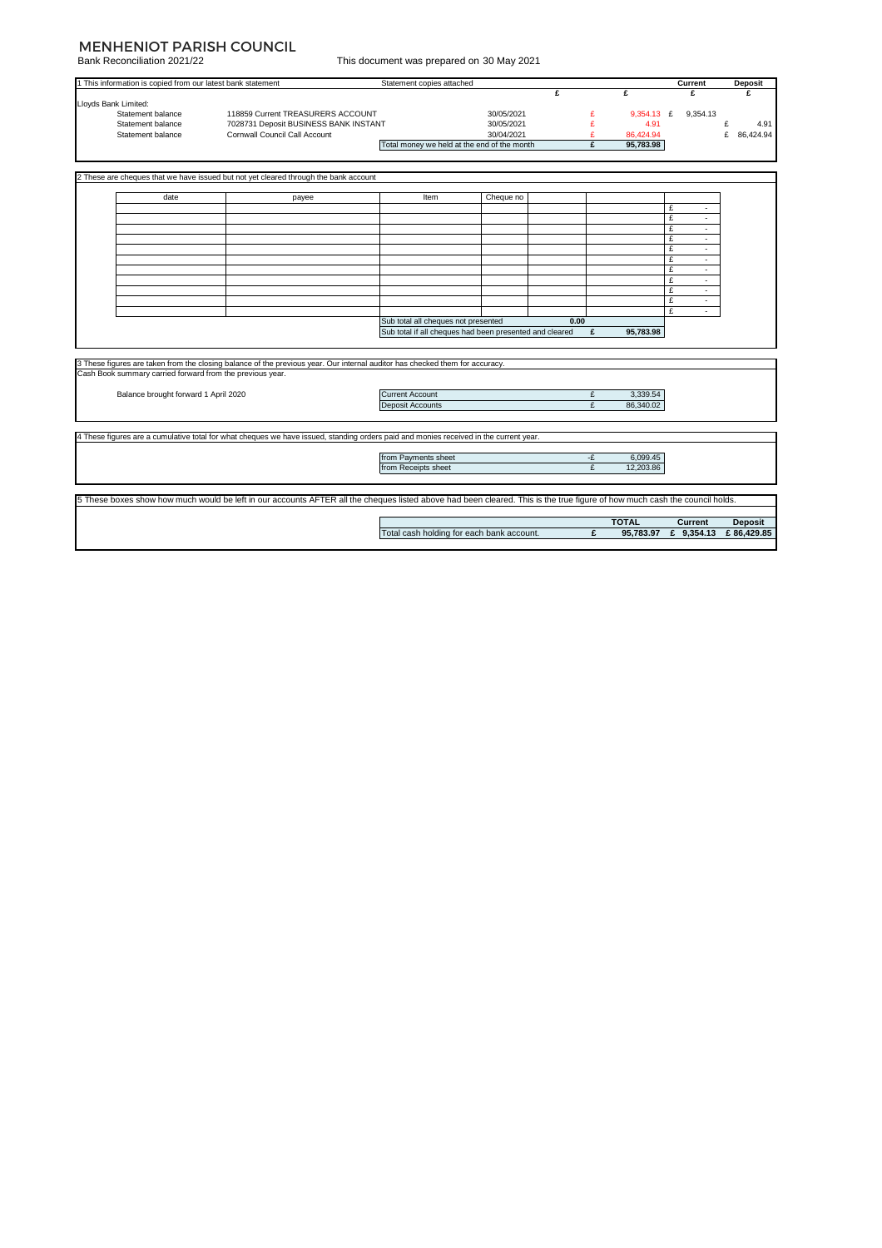### MENHENIOT PARISH COUNCIL

Bank Reconciliation 2021/22

| This document was prepared on 30 May 2021 |  |  |  |  |
|-------------------------------------------|--|--|--|--|
|                                           |  |  |  |  |

|                                      | 1 This information is copied from our latest bank statement |                                                                                                                                                                            | Statement copies attached                               |            | £    |          | £            | Current<br>£         | <b>Deposit</b><br>£ |
|--------------------------------------|-------------------------------------------------------------|----------------------------------------------------------------------------------------------------------------------------------------------------------------------------|---------------------------------------------------------|------------|------|----------|--------------|----------------------|---------------------|
| Lloyds Bank Limited:                 |                                                             |                                                                                                                                                                            |                                                         |            |      |          |              |                      |                     |
|                                      | Statement balance                                           | 118859 Current TREASURERS ACCOUNT                                                                                                                                          |                                                         | 30/05/2021 |      | £        | 9,354.13 £   | 9,354.13             |                     |
|                                      | Statement balance                                           | 7028731 Deposit BUSINESS BANK INSTANT                                                                                                                                      |                                                         | 30/05/2021 |      | £        | 4.91         |                      | £<br>4.91           |
|                                      | Statement balance                                           | <b>Cornwall Council Call Account</b>                                                                                                                                       |                                                         | 30/04/2021 |      | £        | 86.424.94    |                      | £<br>86.424.94      |
|                                      |                                                             |                                                                                                                                                                            | Total money we held at the end of the month             |            |      | £        | 95,783.98    |                      |                     |
|                                      |                                                             |                                                                                                                                                                            |                                                         |            |      |          |              |                      |                     |
|                                      |                                                             |                                                                                                                                                                            |                                                         |            |      |          |              |                      |                     |
|                                      |                                                             | 2 These are cheques that we have issued but not yet cleared through the bank account                                                                                       |                                                         |            |      |          |              |                      |                     |
|                                      |                                                             |                                                                                                                                                                            |                                                         |            |      |          |              |                      |                     |
|                                      | date                                                        | payee                                                                                                                                                                      | Item                                                    | Cheque no  |      |          |              |                      |                     |
|                                      |                                                             |                                                                                                                                                                            |                                                         |            |      |          |              | £<br>٠               |                     |
|                                      |                                                             |                                                                                                                                                                            |                                                         |            |      |          |              | £<br>×.              |                     |
|                                      |                                                             |                                                                                                                                                                            |                                                         |            |      |          |              | £<br>$\blacksquare$  |                     |
|                                      |                                                             |                                                                                                                                                                            |                                                         |            |      |          |              | £<br>٠               |                     |
|                                      |                                                             |                                                                                                                                                                            |                                                         |            |      |          |              | £<br>×.              |                     |
|                                      |                                                             |                                                                                                                                                                            |                                                         |            |      |          |              | £<br>$\sim$          |                     |
|                                      |                                                             |                                                                                                                                                                            |                                                         |            |      |          |              | £                    |                     |
|                                      |                                                             |                                                                                                                                                                            |                                                         |            |      |          |              | £<br>÷               |                     |
|                                      |                                                             |                                                                                                                                                                            |                                                         |            |      |          |              | £<br>٠               |                     |
|                                      |                                                             |                                                                                                                                                                            |                                                         |            |      |          |              | £<br>٠               |                     |
|                                      |                                                             |                                                                                                                                                                            |                                                         |            |      |          |              | £<br>÷.              |                     |
|                                      |                                                             |                                                                                                                                                                            | Sub total all cheques not presented                     |            | 0.00 |          |              |                      |                     |
|                                      |                                                             |                                                                                                                                                                            | Sub total if all cheques had been presented and cleared |            |      | £        | 95,783.98    |                      |                     |
|                                      |                                                             |                                                                                                                                                                            |                                                         |            |      |          |              |                      |                     |
|                                      |                                                             |                                                                                                                                                                            |                                                         |            |      |          |              |                      |                     |
|                                      |                                                             | 3 These figures are taken from the closing balance of the previous year. Our internal auditor has checked them for accuracy.                                               |                                                         |            |      |          |              |                      |                     |
|                                      | Cash Book summary carried forward from the previous year.   |                                                                                                                                                                            |                                                         |            |      |          |              |                      |                     |
|                                      |                                                             |                                                                                                                                                                            |                                                         |            |      |          |              |                      |                     |
| Balance brought forward 1 April 2020 |                                                             | <b>Current Account</b>                                                                                                                                                     |                                                         |            | £    | 3,339.54 |              |                      |                     |
|                                      |                                                             |                                                                                                                                                                            | <b>Deposit Accounts</b>                                 |            |      | £        | 86,340.02    |                      |                     |
|                                      |                                                             |                                                                                                                                                                            |                                                         |            |      |          |              |                      |                     |
|                                      |                                                             |                                                                                                                                                                            |                                                         |            |      |          |              |                      |                     |
|                                      |                                                             | 4 These figures are a cumulative total for what cheques we have issued, standing orders paid and monies received in the current year.                                      |                                                         |            |      |          |              |                      |                     |
|                                      |                                                             |                                                                                                                                                                            | from Payments sheet                                     |            |      | -£       | 6,099.45     |                      |                     |
|                                      |                                                             |                                                                                                                                                                            | from Receipts sheet                                     |            |      | £        | 12,203.86    |                      |                     |
|                                      |                                                             |                                                                                                                                                                            |                                                         |            |      |          |              |                      |                     |
|                                      |                                                             |                                                                                                                                                                            |                                                         |            |      |          |              |                      |                     |
|                                      |                                                             | 5 These boxes show how much would be left in our accounts AFTER all the cheques listed above had been cleared. This is the true figure of how much cash the council holds. |                                                         |            |      |          |              |                      |                     |
|                                      |                                                             |                                                                                                                                                                            |                                                         |            |      |          |              |                      |                     |
|                                      |                                                             |                                                                                                                                                                            |                                                         |            |      |          | <b>TOTAL</b> | Current              | <b>Deposit</b>      |
|                                      |                                                             |                                                                                                                                                                            | Total cash holding for each bank account.               |            |      | £        |              | 95,783.97 £ 9,354.13 | £86.429.85          |
|                                      |                                                             |                                                                                                                                                                            |                                                         |            |      |          |              |                      |                     |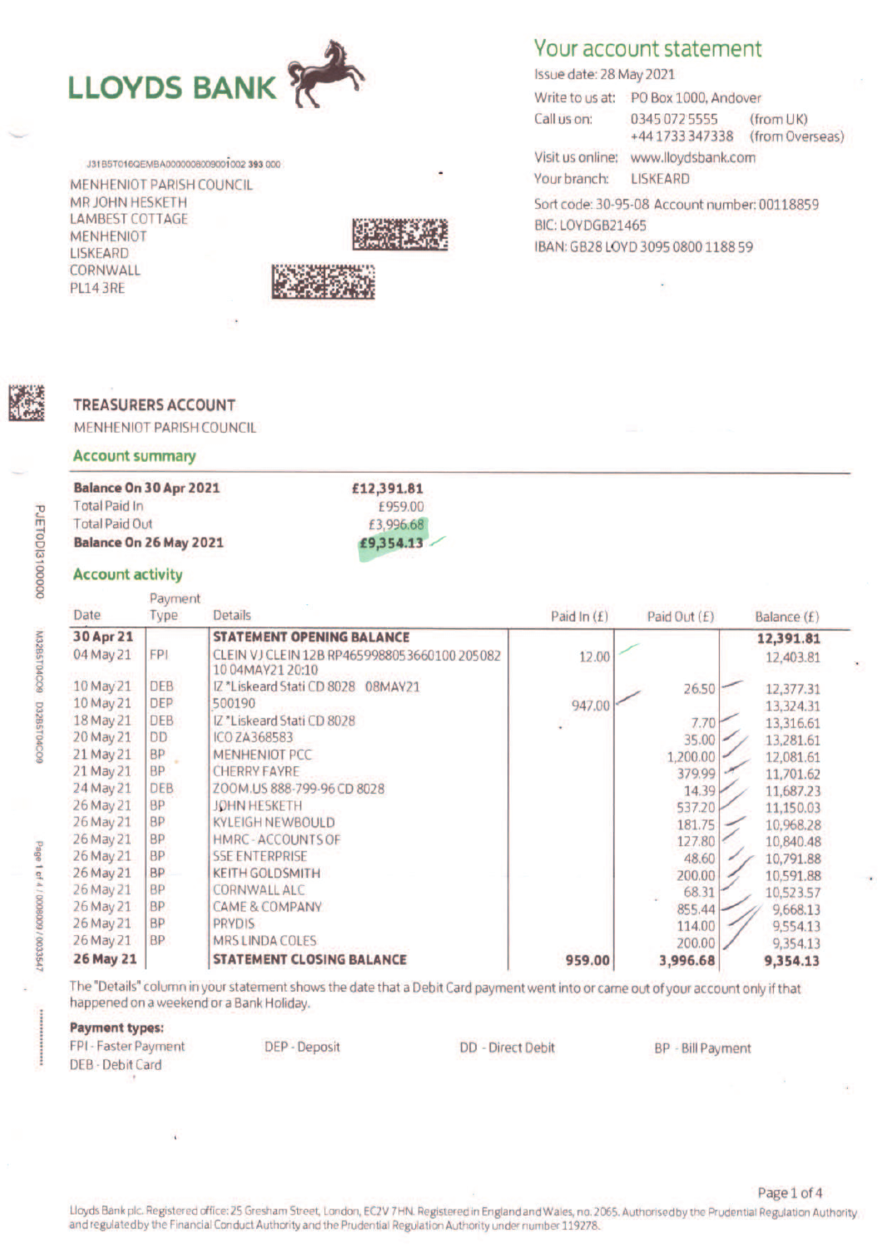

J31B5T016QEMBA0000008009001002 393 000

MENHENIOT PARISH COUNCIL MR JOHN HESKETH **LAMBEST COTTAGE MENHENIOT LISKEARD** CORNWALL **PL14 3RE** 



# Your account statement

Issue date: 28 May 2021 Write to us at: PO Box 1000, Andover Call us on: 0345 072 5555  $(from UK)$ +44 1733 347338 (from Overseas) Visit us online: www.lloydsbank.com

Your branch: **LISKEARD** 

Sort code: 30-95-08 Account number: 00118859 BIC: LOYDGB21465 IBAN: GB28 LOYD 3095 0800 1188 59

## **TREASURERS ACCOUNT**

MENHENIOT PARISH COUNCIL

#### **Account summary**

## **Palance On 30 Apr 2021**

| DAIRING ON 30 APT CULL | ETC'OAT'OT |
|------------------------|------------|
| <b>Total Paid In</b>   | £959.00    |
| <b>Total Paid Out</b>  | £3,996.68  |
| Balance On 26 May 2021 | £9.354.13  |
|                        |            |

### **Account activity**

|                  | Payment    |                                                                  |               |                |             |
|------------------|------------|------------------------------------------------------------------|---------------|----------------|-------------|
| Date             | Type       | <b>Details</b>                                                   | Paid In $(E)$ | Paid Out (£)   | Balance (f) |
| 30 Apr 21        |            | <b>STATEMENT OPENING BALANCE</b>                                 |               |                | 12,391.81   |
| 04 May 21        | <b>FPI</b> | CLEIN VJ CLEIN 12B RP4659988053660100 205082<br>10 04MAY21 20:10 | 12.00         |                | 12,403.81   |
| 10 May 21        | <b>DEB</b> | IZ *Liskeard Stati CD 8028<br>08MAY21                            |               | 26.50          | 12,377.31   |
| 10 May 21        | <b>DEP</b> | 500190                                                           | 947.00        |                | 13,324.31   |
| 18 May 21        | <b>DEB</b> | IZ *Liskeard Stati CD 8028                                       |               | 7.70           | 13,316.61   |
| 20 May 21        | <b>DD</b>  | <b>ICO ZA368583</b>                                              |               | 35.00          | 13,281.61   |
| 21 May 21        | <b>BP</b>  | <b>MENHENIOT PCC</b>                                             |               | 1,200.00       | 12,081.61   |
| 21 May 21        | <b>BP</b>  | <b>CHERRY FAYRE</b>                                              |               | 379.99         | 11,701.62   |
| 24 May 21        | <b>DEB</b> | ZOOM.US 888-799-96 CD 8028                                       |               | $14.39 \times$ | 11,687.23   |
| 26 May 21        | <b>BP</b>  | JOHN HESKETH                                                     |               | 537.20         | 11,150.03   |
| 26 May 21        | <b>BP</b>  | <b>KYLEIGH NEWBOULD</b>                                          |               | 181.75         | 10,968.28   |
| 26 May 21        | <b>BP</b>  | HMRC - ACCOUNTS OF                                               |               | 127.80         | 10,840.48   |
| 26 May 21        | <b>BP</b>  | <b>SSE ENTERPRISE</b>                                            |               | 48.60          | 10,791.88   |
| 26 May 21        | <b>BP</b>  | <b>KEITH GOLDSMITH</b>                                           |               | 200.00         | 10,591.88   |
| 26 May 21        | <b>BP</b>  | <b>CORNWALL ALC</b>                                              |               | 68.31          | 10,523.57   |
| 26 May 21        | <b>BP</b>  | <b>CAME &amp; COMPANY</b>                                        |               | 855.44         | 9,668.13    |
| 26 May 21        | <b>BP</b>  | <b>PRYDIS</b>                                                    |               | 114.00         | 9,554.13    |
| 26 May 21        | <b>BP</b>  | MRS LINDA COLES                                                  |               | 200.00         | 9,354.13    |
| <b>26 May 21</b> |            | <b>STATEMENT CLOSING BALANCE</b>                                 | 959.00        | 3,996.68       | 9,354.13    |

The "Details" column in your statement shows the date that a Debit Card payment went into or came out of your account only if that happened on a weekend or a Bank Holiday.

#### **Payment types:**

FPI - Faster Payment **DEB - Debit Card** 

DEP - Deposit

**DD** - Direct Debit

**BP** - Bill Payment